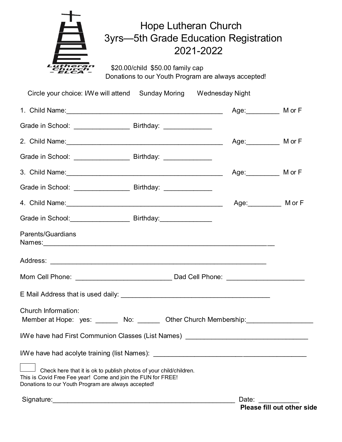| utheran<br>Church | Hope Lutheran Church<br>3yrs—5th Grade Education Registration<br>2021-2022              |
|-------------------|-----------------------------------------------------------------------------------------|
|                   | \$20.00/child \$50.00 family cap<br>Donations to our Youth Program are always accepted! |

| Circle your choice: I/We will attend  Sunday Moring  Wednesday Night                                                                                                                      |                          |
|-------------------------------------------------------------------------------------------------------------------------------------------------------------------------------------------|--------------------------|
|                                                                                                                                                                                           | Age: __________ M or F   |
| Grade in School: __________________________ Birthday: _________________                                                                                                                   |                          |
| 2. Child Name: 2. Child Name:                                                                                                                                                             | Age: ____________ M or F |
|                                                                                                                                                                                           |                          |
|                                                                                                                                                                                           | Age: ___________ M or F  |
|                                                                                                                                                                                           |                          |
|                                                                                                                                                                                           | Age: ___________ M or F  |
| Grade in School: ___________________________ Birthday: __________________                                                                                                                 |                          |
| <b>Parents/Guardians</b>                                                                                                                                                                  |                          |
|                                                                                                                                                                                           |                          |
|                                                                                                                                                                                           |                          |
|                                                                                                                                                                                           |                          |
| Church Information:<br>Member at Hope: yes: _______ No: _______ Other Church Membership: _______________                                                                                  |                          |
| I/We have had First Communion Classes (List Names)                                                                                                                                        |                          |
| I/We have had acolyte training (list Names): ___________________________________                                                                                                          |                          |
| Check here that it is ok to publish photos of your child/children.<br>This is Covid Free Fee year! Come and join the FUN for FREE!<br>Donations to our Youth Program are always accepted! |                          |
|                                                                                                                                                                                           | Date:                    |